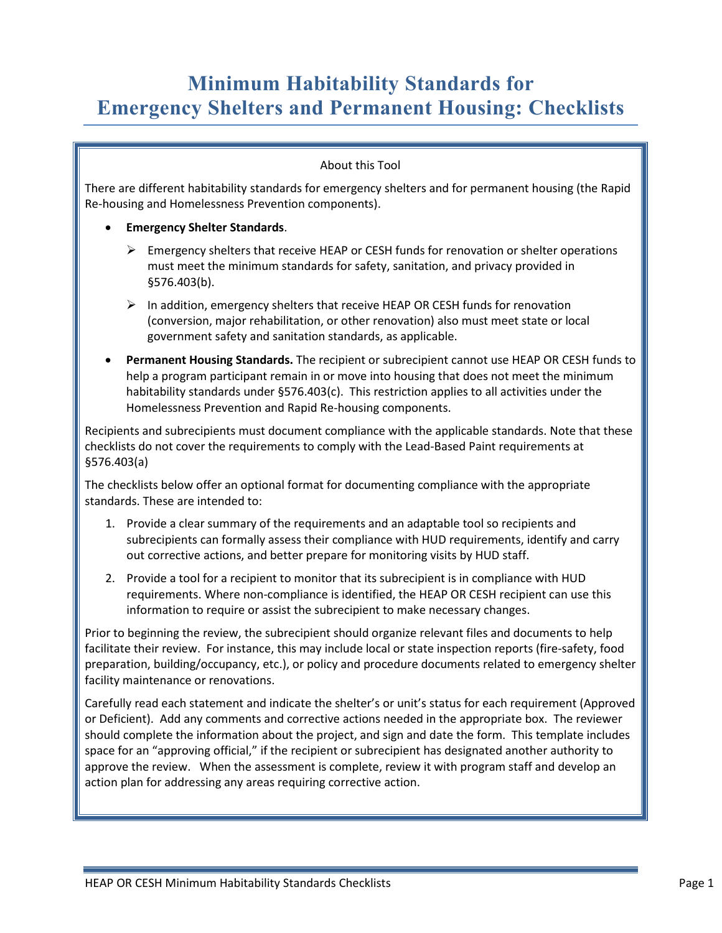# **Minimum Habitability Standards for Emergency Shelters and Permanent Housing: Checklists**

#### About this Tool

There are different habitability standards for emergency shelters and for permanent housing (the Rapid Re-housing and Homelessness Prevention components).

#### • **Emergency Shelter Standards**.

- Emergency shelters that receive HEAP or CESH funds for renovation or shelter operations must meet the minimum standards for safety, sanitation, and privacy provided in §576.403(b).
- $\triangleright$  In addition, emergency shelters that receive HEAP OR CESH funds for renovation (conversion, major rehabilitation, or other renovation) also must meet state or local government safety and sanitation standards, as applicable.
- **Permanent Housing Standards.** The recipient or subrecipient cannot use HEAP OR CESH funds to help a program participant remain in or move into housing that does not meet the minimum habitability standards under §576.403(c). This restriction applies to all activities under the Homelessness Prevention and Rapid Re-housing components.

Recipients and subrecipients must document compliance with the applicable standards. Note that these checklists do not cover the requirements to comply with the Lead-Based Paint requirements at §576.403(a)

The checklists below offer an optional format for documenting compliance with the appropriate standards. These are intended to:

- 1. Provide a clear summary of the requirements and an adaptable tool so recipients and subrecipients can formally assess their compliance with HUD requirements, identify and carry out corrective actions, and better prepare for monitoring visits by HUD staff.
- 2. Provide a tool for a recipient to monitor that its subrecipient is in compliance with HUD requirements. Where non-compliance is identified, the HEAP OR CESH recipient can use this information to require or assist the subrecipient to make necessary changes.

Prior to beginning the review, the subrecipient should organize relevant files and documents to help facilitate their review. For instance, this may include local or state inspection reports (fire-safety, food preparation, building/occupancy, etc.), or policy and procedure documents related to emergency shelter facility maintenance or renovations.

Carefully read each statement and indicate the shelter's or unit's status for each requirement (Approved or Deficient). Add any comments and corrective actions needed in the appropriate box. The reviewer should complete the information about the project, and sign and date the form. This template includes space for an "approving official," if the recipient or subrecipient has designated another authority to approve the review. When the assessment is complete, review it with program staff and develop an action plan for addressing any areas requiring corrective action.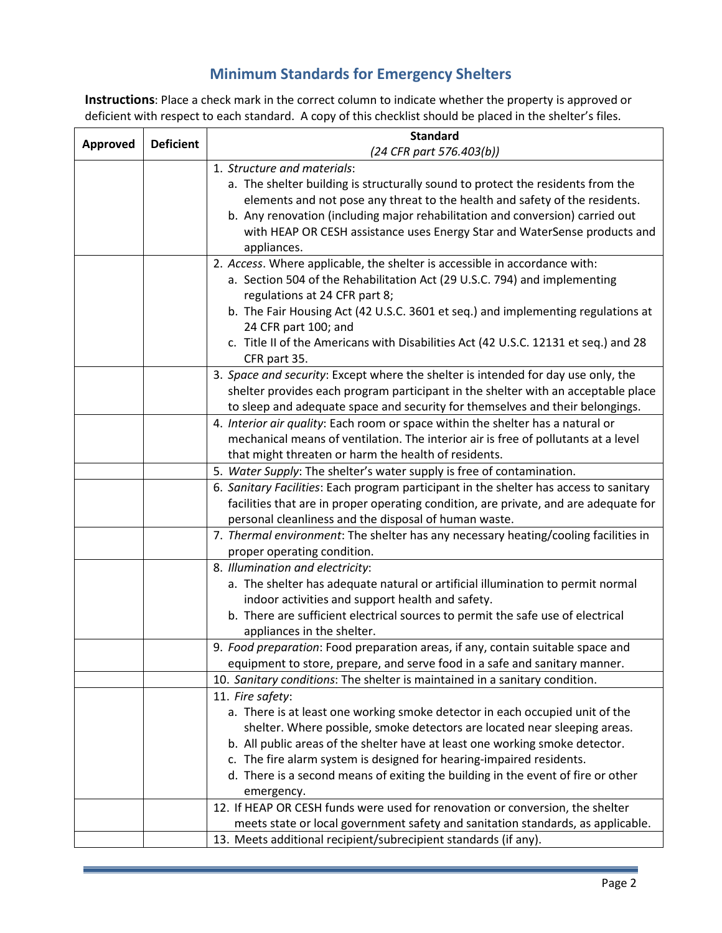## **Minimum Standards for Emergency Shelters**

**Instructions**: Place a check mark in the correct column to indicate whether the property is approved or deficient with respect to each standard. A copy of this checklist should be placed in the shelter's files.

| Approved | <b>Deficient</b> | <b>Standard</b>                                                                                                                                          |
|----------|------------------|----------------------------------------------------------------------------------------------------------------------------------------------------------|
|          |                  | (24 CFR part 576.403(b))                                                                                                                                 |
|          |                  | 1. Structure and materials:                                                                                                                              |
|          |                  | a. The shelter building is structurally sound to protect the residents from the                                                                          |
|          |                  | elements and not pose any threat to the health and safety of the residents.                                                                              |
|          |                  | b. Any renovation (including major rehabilitation and conversion) carried out                                                                            |
|          |                  | with HEAP OR CESH assistance uses Energy Star and WaterSense products and                                                                                |
|          |                  | appliances.                                                                                                                                              |
|          |                  | 2. Access. Where applicable, the shelter is accessible in accordance with:                                                                               |
|          |                  | a. Section 504 of the Rehabilitation Act (29 U.S.C. 794) and implementing                                                                                |
|          |                  | regulations at 24 CFR part 8;                                                                                                                            |
|          |                  | b. The Fair Housing Act (42 U.S.C. 3601 et seq.) and implementing regulations at                                                                         |
|          |                  | 24 CFR part 100; and                                                                                                                                     |
|          |                  | c. Title II of the Americans with Disabilities Act (42 U.S.C. 12131 et seq.) and 28                                                                      |
|          |                  | CFR part 35.                                                                                                                                             |
|          |                  | 3. Space and security: Except where the shelter is intended for day use only, the                                                                        |
|          |                  | shelter provides each program participant in the shelter with an acceptable place                                                                        |
|          |                  | to sleep and adequate space and security for themselves and their belongings.                                                                            |
|          |                  | 4. Interior air quality: Each room or space within the shelter has a natural or                                                                          |
|          |                  | mechanical means of ventilation. The interior air is free of pollutants at a level                                                                       |
|          |                  | that might threaten or harm the health of residents.                                                                                                     |
|          |                  | 5. Water Supply: The shelter's water supply is free of contamination.                                                                                    |
|          |                  | 6. Sanitary Facilities: Each program participant in the shelter has access to sanitary                                                                   |
|          |                  | facilities that are in proper operating condition, are private, and are adequate for                                                                     |
|          |                  | personal cleanliness and the disposal of human waste.                                                                                                    |
|          |                  | 7. Thermal environment: The shelter has any necessary heating/cooling facilities in                                                                      |
|          |                  | proper operating condition.                                                                                                                              |
|          |                  | 8. Illumination and electricity:                                                                                                                         |
|          |                  | a. The shelter has adequate natural or artificial illumination to permit normal                                                                          |
|          |                  | indoor activities and support health and safety.                                                                                                         |
|          |                  | b. There are sufficient electrical sources to permit the safe use of electrical                                                                          |
|          |                  | appliances in the shelter.                                                                                                                               |
|          |                  | 9. Food preparation: Food preparation areas, if any, contain suitable space and                                                                          |
|          |                  | equipment to store, prepare, and serve food in a safe and sanitary manner.                                                                               |
|          |                  | 10. Sanitary conditions: The shelter is maintained in a sanitary condition.                                                                              |
|          |                  | 11. Fire safety:                                                                                                                                         |
|          |                  | a. There is at least one working smoke detector in each occupied unit of the                                                                             |
|          |                  | shelter. Where possible, smoke detectors are located near sleeping areas.                                                                                |
|          |                  | b. All public areas of the shelter have at least one working smoke detector.                                                                             |
|          |                  | c. The fire alarm system is designed for hearing-impaired residents.<br>d. There is a second means of exiting the building in the event of fire or other |
|          |                  |                                                                                                                                                          |
|          |                  | emergency.<br>12. If HEAP OR CESH funds were used for renovation or conversion, the shelter                                                              |
|          |                  | meets state or local government safety and sanitation standards, as applicable.                                                                          |
|          |                  |                                                                                                                                                          |
|          |                  | 13. Meets additional recipient/subrecipient standards (if any).                                                                                          |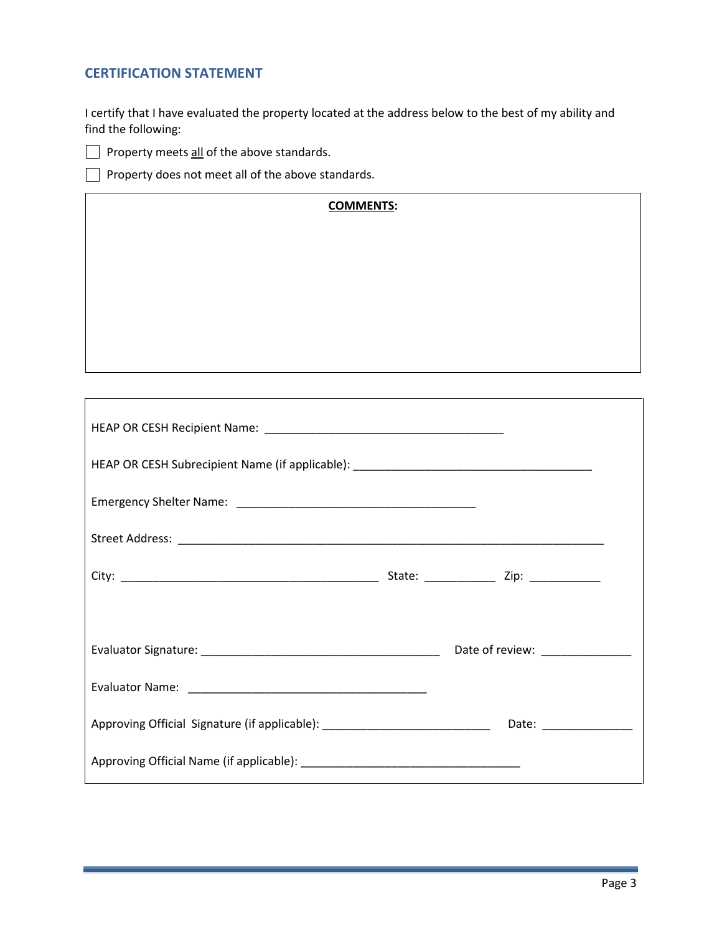### **CERTIFICATION STATEMENT**

I certify that I have evaluated the property located at the address below to the best of my ability and find the following:



 $\Box$  Property meets all of the above standards.

 $\Box$  Property does not meet all of the above standards.

| <b>COMMENTS:</b> |
|------------------|
|                  |
|                  |
|                  |
|                  |
|                  |
|                  |
|                  |

| HEAP OR CESH Subrecipient Name (if applicable): _________________________________                             |  |                                                                                                                                                                                                                               |  |  |  |
|---------------------------------------------------------------------------------------------------------------|--|-------------------------------------------------------------------------------------------------------------------------------------------------------------------------------------------------------------------------------|--|--|--|
|                                                                                                               |  |                                                                                                                                                                                                                               |  |  |  |
|                                                                                                               |  |                                                                                                                                                                                                                               |  |  |  |
|                                                                                                               |  |                                                                                                                                                                                                                               |  |  |  |
|                                                                                                               |  |                                                                                                                                                                                                                               |  |  |  |
|                                                                                                               |  | Date of review: National Contract of Text Contract Contract Contract Contract Contract Contract Contract Contract Contract Contract Contract Contract Contract Contract Contract Contract Contract Contract Contract Contract |  |  |  |
|                                                                                                               |  |                                                                                                                                                                                                                               |  |  |  |
| Approving Official Signature (if applicable): __________________________________ Date: ______________________ |  |                                                                                                                                                                                                                               |  |  |  |
|                                                                                                               |  |                                                                                                                                                                                                                               |  |  |  |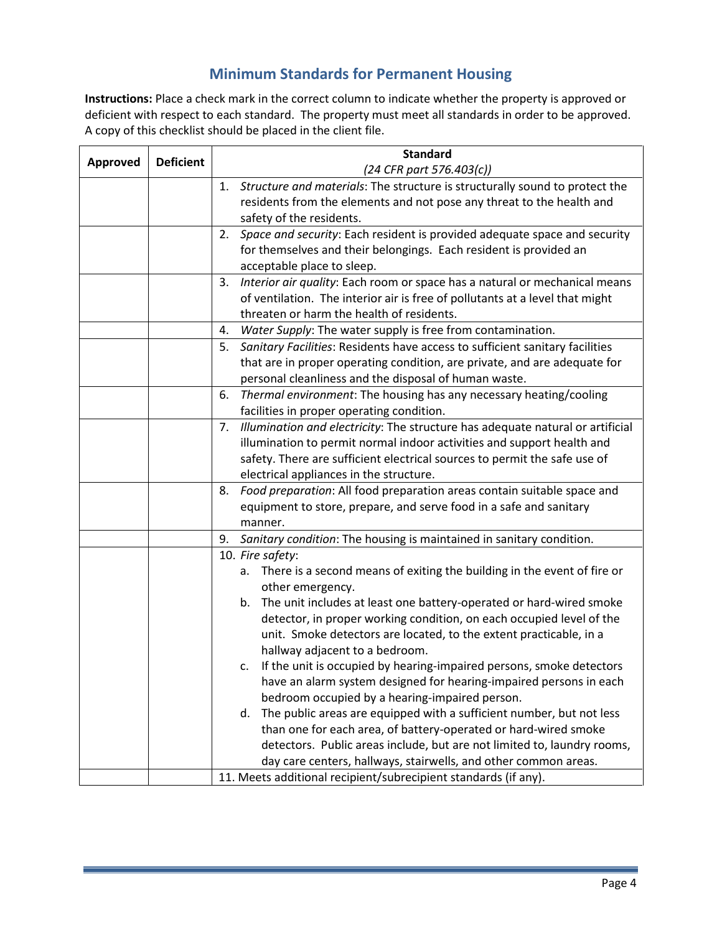## **Minimum Standards for Permanent Housing**

**Instructions:** Place a check mark in the correct column to indicate whether the property is approved or deficient with respect to each standard. The property must meet all standards in order to be approved. A copy of this checklist should be placed in the client file.

| <b>Approved</b> | <b>Deficient</b> | <b>Standard</b>                                                                      |
|-----------------|------------------|--------------------------------------------------------------------------------------|
|                 |                  | (24 CFR part 576.403(c))                                                             |
|                 |                  | 1. Structure and materials: The structure is structurally sound to protect the       |
|                 |                  | residents from the elements and not pose any threat to the health and                |
|                 |                  | safety of the residents.                                                             |
|                 |                  | 2. Space and security: Each resident is provided adequate space and security         |
|                 |                  | for themselves and their belongings. Each resident is provided an                    |
|                 |                  | acceptable place to sleep.                                                           |
|                 |                  | Interior air quality: Each room or space has a natural or mechanical means<br>3.     |
|                 |                  | of ventilation. The interior air is free of pollutants at a level that might         |
|                 |                  | threaten or harm the health of residents.                                            |
|                 |                  | Water Supply: The water supply is free from contamination.<br>4.                     |
|                 |                  | Sanitary Facilities: Residents have access to sufficient sanitary facilities<br>5.   |
|                 |                  | that are in proper operating condition, are private, and are adequate for            |
|                 |                  | personal cleanliness and the disposal of human waste.                                |
|                 |                  | Thermal environment: The housing has any necessary heating/cooling<br>6.             |
|                 |                  | facilities in proper operating condition.                                            |
|                 |                  | Illumination and electricity: The structure has adequate natural or artificial<br>7. |
|                 |                  | illumination to permit normal indoor activities and support health and               |
|                 |                  | safety. There are sufficient electrical sources to permit the safe use of            |
|                 |                  | electrical appliances in the structure.                                              |
|                 |                  | Food preparation: All food preparation areas contain suitable space and<br>8.        |
|                 |                  | equipment to store, prepare, and serve food in a safe and sanitary                   |
|                 |                  | manner.                                                                              |
|                 |                  | Sanitary condition: The housing is maintained in sanitary condition.<br>9.           |
|                 |                  | 10. Fire safety:                                                                     |
|                 |                  | There is a second means of exiting the building in the event of fire or<br>a.        |
|                 |                  | other emergency.                                                                     |
|                 |                  | The unit includes at least one battery-operated or hard-wired smoke<br>b.            |
|                 |                  | detector, in proper working condition, on each occupied level of the                 |
|                 |                  | unit. Smoke detectors are located, to the extent practicable, in a                   |
|                 |                  | hallway adjacent to a bedroom.                                                       |
|                 |                  | c. If the unit is occupied by hearing-impaired persons, smoke detectors              |
|                 |                  | have an alarm system designed for hearing-impaired persons in each                   |
|                 |                  | bedroom occupied by a hearing-impaired person.                                       |
|                 |                  | The public areas are equipped with a sufficient number, but not less<br>d.           |
|                 |                  | than one for each area, of battery-operated or hard-wired smoke                      |
|                 |                  | detectors. Public areas include, but are not limited to, laundry rooms,              |
|                 |                  | day care centers, hallways, stairwells, and other common areas.                      |
|                 |                  | 11. Meets additional recipient/subrecipient standards (if any).                      |